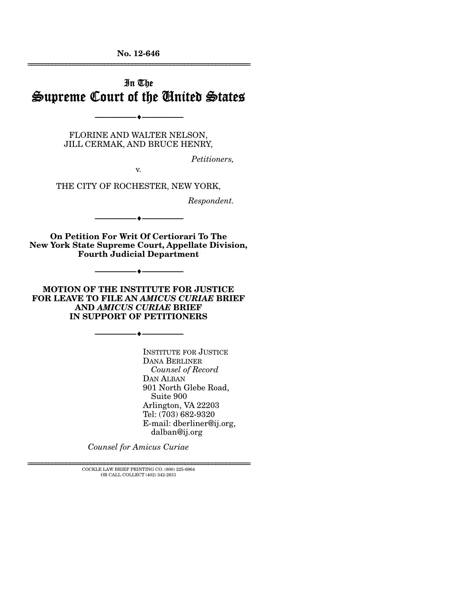**No. 12-646**  ================================================================

# In The Supreme Court of the United States

FLORINE AND WALTER NELSON, JILL CERMAK, AND BRUCE HENRY,

v.

--------------------------------- ---------------------------------

*Petitioners,* 

THE CITY OF ROCHESTER, NEW YORK,

*Respondent.* 

**On Petition For Writ Of Certiorari To The New York State Supreme Court, Appellate Division, Fourth Judicial Department** 

--------------------------------- ---------------------------------

**MOTION OF THE INSTITUTE FOR JUSTICE FOR LEAVE TO FILE AN** *AMICUS CURIAE* **BRIEF AND** *AMICUS CURIAE* **BRIEF IN SUPPORT OF PETITIONERS** 

--------------------------------- ---------------------------------

--------------------------------- ---------------------------------

INSTITUTE FOR JUSTICE DANA BERLINER  *Counsel of Record*  DAN ALBAN 901 North Glebe Road, Suite 900 Arlington, VA 22203 Tel: (703) 682-9320 E-mail: dberliner@ij.org, dalban@ij.org

*Counsel for Amicus Curiae*

================================================================ COCKLE LAW BRIEF PRINTING CO. (800) 225-6964 OR CALL COLLECT (402) 342-2831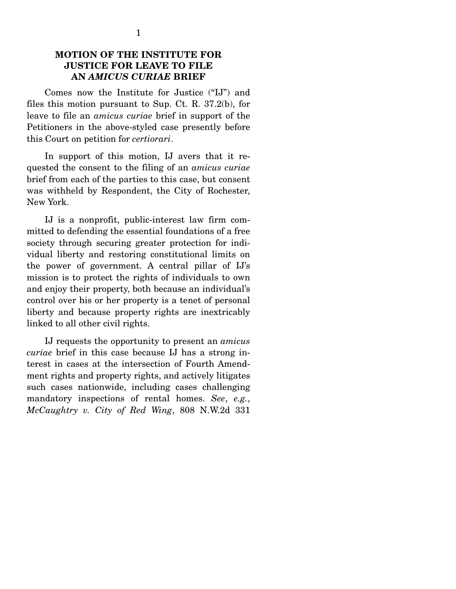#### **MOTION OF THE INSTITUTE FOR JUSTICE FOR LEAVE TO FILE AN** *AMICUS CURIAE* **BRIEF**

 Comes now the Institute for Justice ("IJ") and files this motion pursuant to Sup. Ct. R. 37.2(b), for leave to file an *amicus curiae* brief in support of the Petitioners in the above-styled case presently before this Court on petition for *certiorari*.

 In support of this motion, IJ avers that it requested the consent to the filing of an *amicus curiae*  brief from each of the parties to this case, but consent was withheld by Respondent, the City of Rochester, New York.

 IJ is a nonprofit, public-interest law firm committed to defending the essential foundations of a free society through securing greater protection for individual liberty and restoring constitutional limits on the power of government. A central pillar of IJ's mission is to protect the rights of individuals to own and enjoy their property, both because an individual's control over his or her property is a tenet of personal liberty and because property rights are inextricably linked to all other civil rights.

 IJ requests the opportunity to present an *amicus curiae* brief in this case because IJ has a strong interest in cases at the intersection of Fourth Amendment rights and property rights, and actively litigates such cases nationwide, including cases challenging mandatory inspections of rental homes. *See*, *e.g.*, *McCaughtry v. City of Red Wing*, 808 N.W.2d 331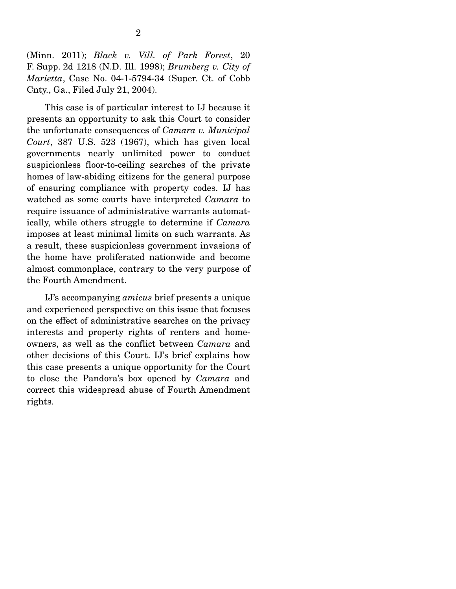(Minn. 2011); *Black v. Vill. of Park Forest*, 20 F. Supp. 2d 1218 (N.D. Ill. 1998); *Brumberg v. City of Marietta*, Case No. 04-1-5794-34 (Super. Ct. of Cobb Cnty., Ga., Filed July 21, 2004).

 This case is of particular interest to IJ because it presents an opportunity to ask this Court to consider the unfortunate consequences of *Camara v. Municipal Court*, 387 U.S. 523 (1967), which has given local governments nearly unlimited power to conduct suspicionless floor-to-ceiling searches of the private homes of law-abiding citizens for the general purpose of ensuring compliance with property codes. IJ has watched as some courts have interpreted *Camara* to require issuance of administrative warrants automatically, while others struggle to determine if *Camara*  imposes at least minimal limits on such warrants. As a result, these suspicionless government invasions of the home have proliferated nationwide and become almost commonplace, contrary to the very purpose of the Fourth Amendment.

 IJ's accompanying *amicus* brief presents a unique and experienced perspective on this issue that focuses on the effect of administrative searches on the privacy interests and property rights of renters and homeowners, as well as the conflict between *Camara* and other decisions of this Court. IJ's brief explains how this case presents a unique opportunity for the Court to close the Pandora's box opened by *Camara* and correct this widespread abuse of Fourth Amendment rights.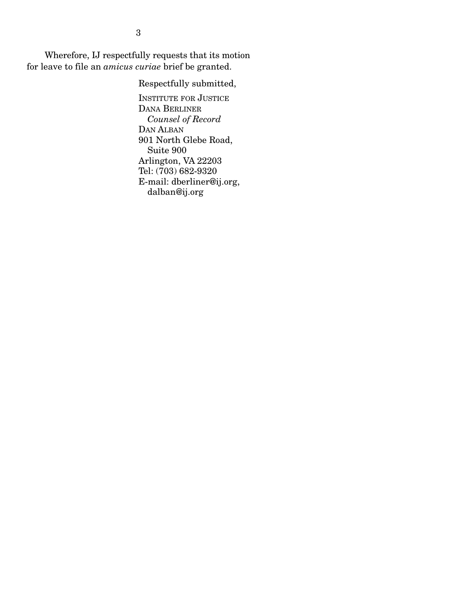Wherefore, IJ respectfully requests that its motion for leave to file an *amicus curiae* brief be granted.

Respectfully submitted,

INSTITUTE FOR JUSTICE DANA BERLINER *Counsel of Record*  DAN ALBAN 901 North Glebe Road, Suite 900 Arlington, VA 22203 Tel: (703) 682-9320 E-mail: dberliner@ij.org, dalban@ij.org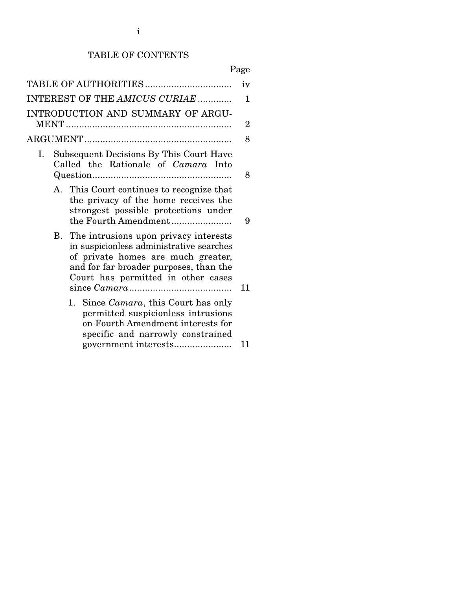# TABLE OF CONTENTS

|    |             | TABLE OF AUTHORITIES                                                                                                                                                                                    | iv             |
|----|-------------|---------------------------------------------------------------------------------------------------------------------------------------------------------------------------------------------------------|----------------|
|    |             | INTEREST OF THE AMICUS CURIAE                                                                                                                                                                           | 1              |
|    |             | INTRODUCTION AND SUMMARY OF ARGU-                                                                                                                                                                       | $\overline{2}$ |
|    |             |                                                                                                                                                                                                         | 8              |
| Ι. |             | Subsequent Decisions By This Court Have<br>Called the Rationale of Camara Into                                                                                                                          | 8              |
|    | $A_{\cdot}$ | This Court continues to recognize that<br>the privacy of the home receives the<br>strongest possible protections under<br>the Fourth Amendment                                                          | 9              |
|    | <b>B.</b>   | The intrusions upon privacy interests<br>in suspicionless administrative searches<br>of private homes are much greater,<br>and for far broader purposes, than the<br>Court has permitted in other cases | 11             |
|    |             | Since <i>Camara</i> , this Court has only<br>1.<br>permitted suspicionless intrusions<br>on Fourth Amendment interests for<br>specific and narrowly constrained                                         | 11             |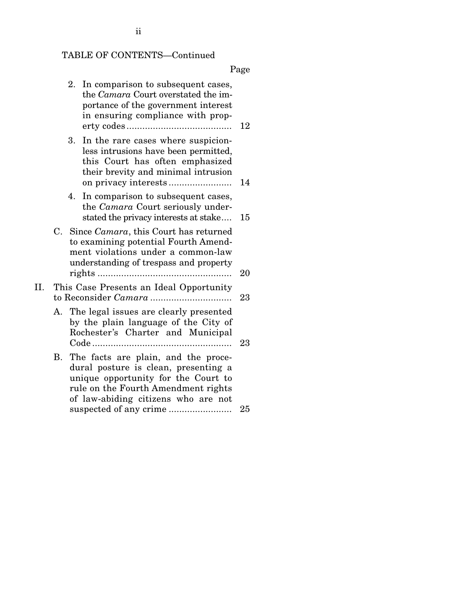# TABLE OF CONTENTS—Continued

|     |    | 2. In comparison to subsequent cases,<br>the Camara Court overstated the im-<br>portance of the government interest<br>in ensuring compliance with prop-                                         | 12 |
|-----|----|--------------------------------------------------------------------------------------------------------------------------------------------------------------------------------------------------|----|
|     |    | 3.<br>In the rare cases where suspicion-<br>less intrusions have been permitted,<br>this Court has often emphasized<br>their brevity and minimal intrusion                                       | 14 |
|     |    | 4. In comparison to subsequent cases,<br>the <i>Camara</i> Court seriously under-<br>stated the privacy interests at stake                                                                       | 15 |
|     |    | C. Since <i>Camara</i> , this Court has returned<br>to examining potential Fourth Amend-<br>ment violations under a common-law<br>understanding of trespass and property                         | 20 |
| II. |    | This Case Presents an Ideal Opportunity                                                                                                                                                          | 23 |
|     |    | A. The legal issues are clearly presented<br>by the plain language of the City of<br>Rochester's Charter and Municipal                                                                           | 23 |
|     | В. | The facts are plain, and the proce-<br>dural posture is clean, presenting a<br>unique opportunity for the Court to<br>rule on the Fourth Amendment rights<br>of law-abiding citizens who are not | 25 |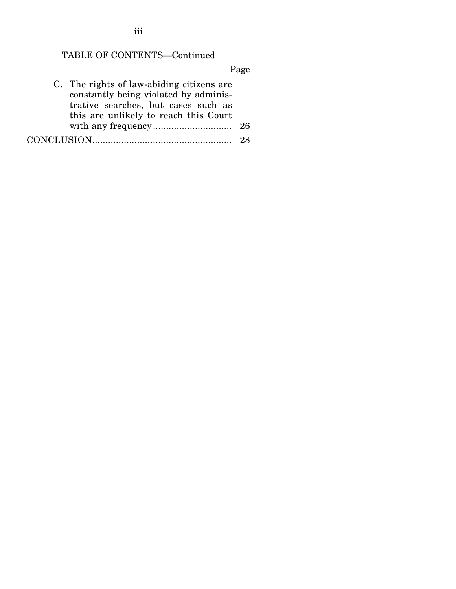# TABLE OF CONTENTS—Continued

| C. The rights of law-abiding citizens are |  |
|-------------------------------------------|--|
| constantly being violated by adminis-     |  |
| trative searches, but cases such as       |  |
| this are unlikely to reach this Court     |  |
|                                           |  |
|                                           |  |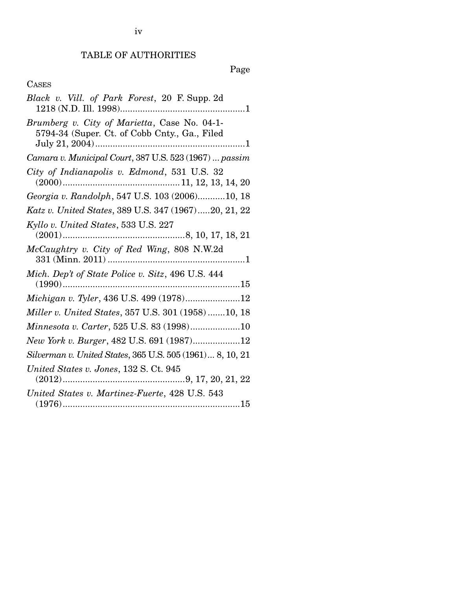# TABLE OF AUTHORITIES

# Page

## CASES

| Black v. Vill. of Park Forest, 20 F. Supp. 2d                                                 |
|-----------------------------------------------------------------------------------------------|
| Brumberg v. City of Marietta, Case No. 04-1-<br>5794-34 (Super. Ct. of Cobb Cnty., Ga., Filed |
| Camara v. Municipal Court, 387 U.S. 523 (1967)  passim                                        |
| City of Indianapolis v. Edmond, 531 U.S. 32                                                   |
| Georgia v. Randolph, 547 U.S. 103 (2006)10, 18                                                |
| Katz v. United States, 389 U.S. 347 (1967)20, 21, 22                                          |
| Kyllo v. United States, 533 U.S. 227                                                          |
| McCaughtry v. City of Red Wing, 808 N.W.2d                                                    |
| Mich. Dep't of State Police v. Sitz, 496 U.S. 444                                             |
| Michigan v. Tyler, 436 U.S. 499 (1978)12                                                      |
| Miller v. United States, 357 U.S. 301 (1958) 10, 18                                           |
| Minnesota v. Carter, 525 U.S. 83 (1998)10                                                     |
| New York v. Burger, 482 U.S. 691 (1987)12                                                     |
| Silverman v. United States, 365 U.S. 505 (1961) 8, 10, 21                                     |
| United States v. Jones, 132 S. Ct. 945                                                        |
| United States v. Martinez-Fuerte, 428 U.S. 543                                                |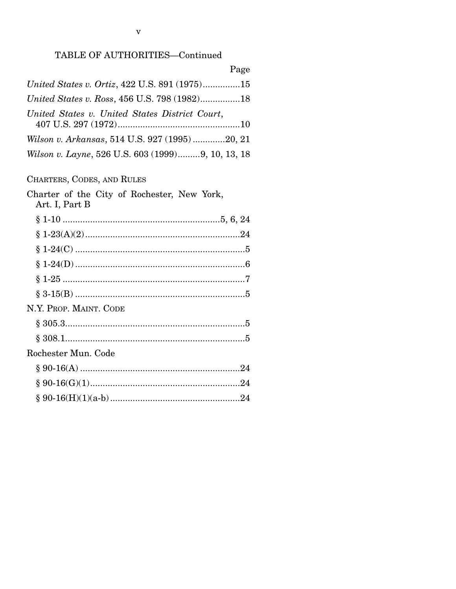### TABLE OF AUTHORITIES-Continued

| Page                                              |  |
|---------------------------------------------------|--|
| United States v. Ortiz, 422 U.S. 891 (1975)15     |  |
| United States v. Ross, 456 U.S. 798 (1982)18      |  |
| United States v. United States District Court,    |  |
| Wilson v. Arkansas, 514 U.S. 927 (1995)20, 21     |  |
| Wilson v. Layne, 526 U.S. 603 (1999)9, 10, 13, 18 |  |

### CHARTERS, CODES, AND RULES

| Charter of the City of Rochester, New York,<br>Art. I, Part B |
|---------------------------------------------------------------|
|                                                               |
|                                                               |
|                                                               |
|                                                               |
|                                                               |
|                                                               |
| N.Y. PROP. MAINT. CODE                                        |
| § 305.35                                                      |
|                                                               |
| Rochester Mun. Code                                           |
|                                                               |
|                                                               |
|                                                               |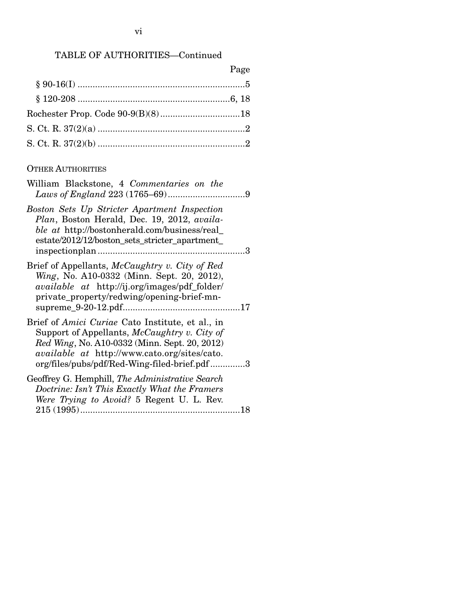# TABLE OF AUTHORITIES—Continued

| Page |
|------|
|      |
|      |
|      |
|      |
|      |

### OTHER AUTHORITIES

| William Blackstone, 4 Commentaries on the                                                                                                                                                                                                                |
|----------------------------------------------------------------------------------------------------------------------------------------------------------------------------------------------------------------------------------------------------------|
| Boston Sets Up Stricter Apartment Inspection<br>Plan, Boston Herald, Dec. 19, 2012, availa-<br><i>ble at http://bostonherald.com/business/real_</i><br>estate/2012/12/boston_sets_stricter_apartment_                                                    |
| Brief of Appellants, McCaughtry v. City of Red<br><i>Wing</i> , No. A10-0332 (Minn. Sept. 20, 2012),<br><i>available at http://ij.org/images/pdf_folder/</i><br>private_property/redwing/opening-brief-mn-                                               |
| Brief of <i>Amici Curiae</i> Cato Institute, et al., in<br>Support of Appellants, McCaughtry v. City of<br>Red Wing, No. A10-0332 (Minn. Sept. 20, 2012)<br>available at http://www.cato.org/sites/cato.<br>org/files/pubs/pdf/Red-Wing-filed-brief.pdf3 |
| Geoffrey G. Hemphill, The Administrative Search<br>Doctrine: Isn't This Exactly What the Framers<br>Were Trying to Avoid? 5 Regent U. L. Rev.                                                                                                            |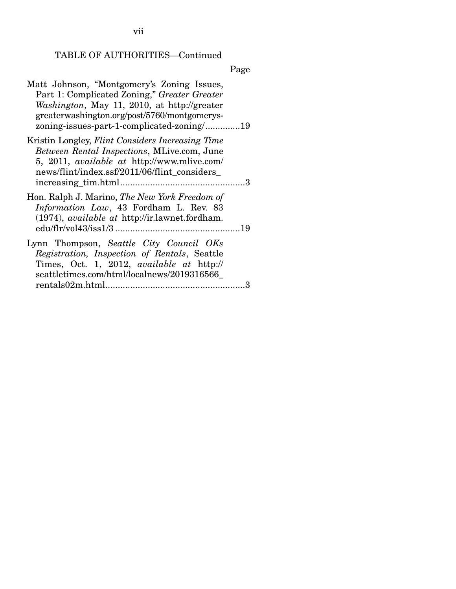TABLE OF AUTHORITIES—Continued

| Matt Johnson, "Montgomery's Zoning Issues,<br>Part 1: Complicated Zoning," Greater Greater<br>Washington, May 11, 2010, at http://greater<br>greaterwashington.org/post/5760/montgomerys-<br>zoning-issues-part-1-complicated-zoning/19 |
|-----------------------------------------------------------------------------------------------------------------------------------------------------------------------------------------------------------------------------------------|
| Kristin Longley, Flint Considers Increasing Time<br>Between Rental Inspections, MLive.com, June<br>5, 2011, <i>available at http://www.mlive.com/</i><br>news/flint/index.ssf/2011/06/flint_considers_                                  |
| Hon. Ralph J. Marino, The New York Freedom of<br>Information Law, 43 Fordham L. Rev. 83<br>$(1974)$ , <i>available at http://ir.lawnet.fordham.</i>                                                                                     |
| Lynn Thompson, Seattle City Council OKs<br>Registration, Inspection of Rentals, Seattle<br>Times, Oct. 1, 2012, <i>available at http://</i><br>seattletimes.com/html/localnews/2019316566                                               |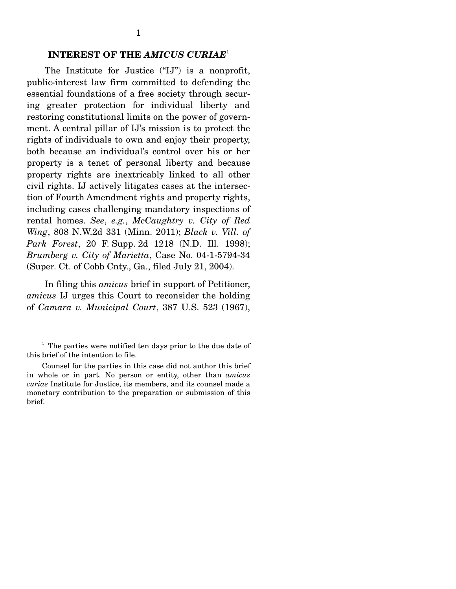#### **INTEREST OF THE** *AMICUS CURIAE*<sup>1</sup>

 The Institute for Justice ("IJ") is a nonprofit, public-interest law firm committed to defending the essential foundations of a free society through securing greater protection for individual liberty and restoring constitutional limits on the power of government. A central pillar of IJ's mission is to protect the rights of individuals to own and enjoy their property, both because an individual's control over his or her property is a tenet of personal liberty and because property rights are inextricably linked to all other civil rights. IJ actively litigates cases at the intersection of Fourth Amendment rights and property rights, including cases challenging mandatory inspections of rental homes. *See*, *e.g.*, *McCaughtry v. City of Red Wing*, 808 N.W.2d 331 (Minn. 2011); *Black v. Vill. of Park Forest*, 20 F. Supp. 2d 1218 (N.D. Ill. 1998); *Brumberg v. City of Marietta*, Case No. 04-1-5794-34 (Super. Ct. of Cobb Cnty., Ga., filed July 21, 2004).

 In filing this *amicus* brief in support of Petitioner, *amicus* IJ urges this Court to reconsider the holding of *Camara v. Municipal Court*, 387 U.S. 523 (1967),

<sup>&</sup>lt;sup>1</sup> The parties were notified ten days prior to the due date of this brief of the intention to file.

Counsel for the parties in this case did not author this brief in whole or in part. No person or entity, other than *amicus curiae* Institute for Justice, its members, and its counsel made a monetary contribution to the preparation or submission of this brief.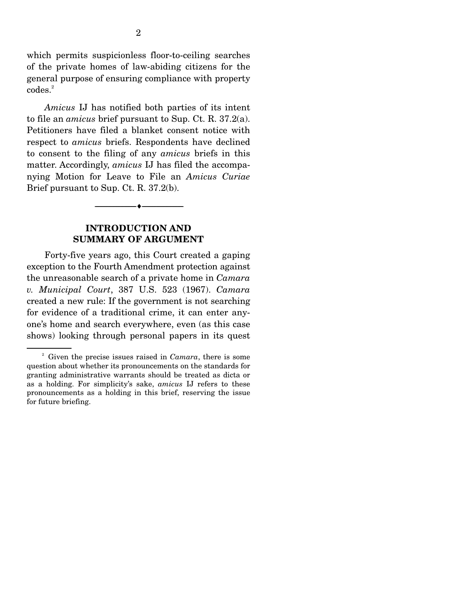which permits suspicionless floor-to-ceiling searches of the private homes of law-abiding citizens for the general purpose of ensuring compliance with property codes.<sup>2</sup>

*Amicus* IJ has notified both parties of its intent to file an *amicus* brief pursuant to Sup. Ct. R. 37.2(a). Petitioners have filed a blanket consent notice with respect to *amicus* briefs. Respondents have declined to consent to the filing of any *amicus* briefs in this matter. Accordingly, *amicus* IJ has filed the accompanying Motion for Leave to File an *Amicus Curiae* Brief pursuant to Sup. Ct. R. 37.2(b).

#### **INTRODUCTION AND SUMMARY OF ARGUMENT**

--------------------------------- ---------------------------------

 Forty-five years ago, this Court created a gaping exception to the Fourth Amendment protection against the unreasonable search of a private home in *Camara v. Municipal Court*, 387 U.S. 523 (1967). *Camara*  created a new rule: If the government is not searching for evidence of a traditional crime, it can enter anyone's home and search everywhere, even (as this case shows) looking through personal papers in its quest

<sup>2</sup> Given the precise issues raised in *Camara*, there is some question about whether its pronouncements on the standards for granting administrative warrants should be treated as dicta or as a holding. For simplicity's sake, *amicus* IJ refers to these pronouncements as a holding in this brief, reserving the issue for future briefing.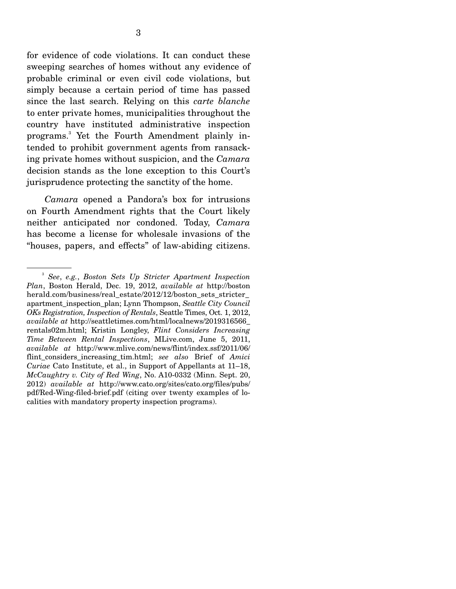for evidence of code violations. It can conduct these sweeping searches of homes without any evidence of probable criminal or even civil code violations, but simply because a certain period of time has passed since the last search. Relying on this *carte blanche* to enter private homes, municipalities throughout the country have instituted administrative inspection programs.3 Yet the Fourth Amendment plainly intended to prohibit government agents from ransacking private homes without suspicion, and the *Camara*  decision stands as the lone exception to this Court's jurisprudence protecting the sanctity of the home.

*Camara* opened a Pandora's box for intrusions on Fourth Amendment rights that the Court likely neither anticipated nor condoned. Today, *Camara* has become a license for wholesale invasions of the "houses, papers, and effects" of law-abiding citizens.

<sup>3</sup> *See*, *e.g.*, *Boston Sets Up Stricter Apartment Inspection Plan*, Boston Herald, Dec. 19, 2012, *available at* http://boston herald.com/business/real\_estate/2012/12/boston\_sets\_stricter\_ apartment\_inspection\_plan; Lynn Thompson, *Seattle City Council OKs Registration, Inspection of Rentals*, Seattle Times, Oct. 1, 2012, *available at* http://seattletimes.com/html/localnews/2019316566\_ rentals02m.html; Kristin Longley, *Flint Considers Increasing Time Between Rental Inspections*, MLive.com, June 5, 2011, *available at* http://www.mlive.com/news/flint/index.ssf/2011/06/ flint considers increasing tim.html; *see also* Brief of *Amici Curiae* Cato Institute, et al., in Support of Appellants at 11–18, *McCaughtry v. City of Red Wing*, No. A10-0332 (Minn. Sept. 20, 2012) *available at* http://www.cato.org/sites/cato.org/files/pubs/ pdf/Red-Wing-filed-brief.pdf (citing over twenty examples of localities with mandatory property inspection programs).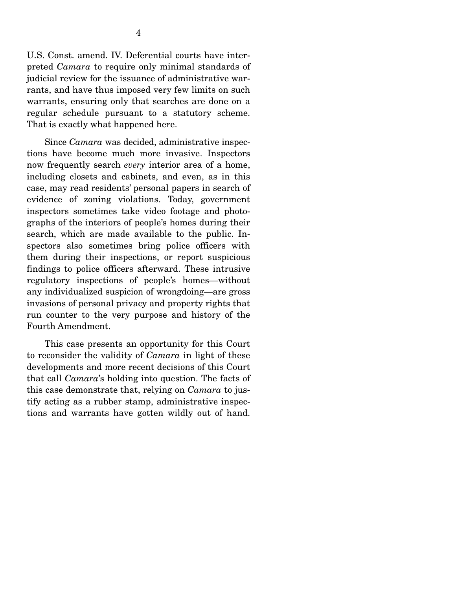U.S. Const. amend. IV. Deferential courts have interpreted *Camara* to require only minimal standards of judicial review for the issuance of administrative warrants, and have thus imposed very few limits on such warrants, ensuring only that searches are done on a regular schedule pursuant to a statutory scheme. That is exactly what happened here.

 Since *Camara* was decided, administrative inspections have become much more invasive. Inspectors now frequently search *every* interior area of a home, including closets and cabinets, and even, as in this case, may read residents' personal papers in search of evidence of zoning violations. Today, government inspectors sometimes take video footage and photographs of the interiors of people's homes during their search, which are made available to the public. Inspectors also sometimes bring police officers with them during their inspections, or report suspicious findings to police officers afterward. These intrusive regulatory inspections of people's homes—without any individualized suspicion of wrongdoing—are gross invasions of personal privacy and property rights that run counter to the very purpose and history of the Fourth Amendment.

 This case presents an opportunity for this Court to reconsider the validity of *Camara* in light of these developments and more recent decisions of this Court that call *Camara*'s holding into question. The facts of this case demonstrate that, relying on *Camara* to justify acting as a rubber stamp, administrative inspections and warrants have gotten wildly out of hand.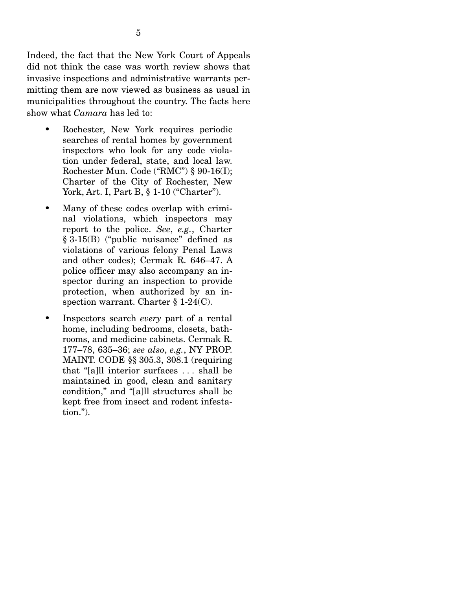Indeed, the fact that the New York Court of Appeals did not think the case was worth review shows that invasive inspections and administrative warrants permitting them are now viewed as business as usual in municipalities throughout the country. The facts here show what *Camara* has led to:

- Rochester, New York requires periodic searches of rental homes by government inspectors who look for any code violation under federal, state, and local law. Rochester Mun. Code ("RMC") § 90-16(I); Charter of the City of Rochester, New York, Art. I, Part B, § 1-10 ("Charter").
- Many of these codes overlap with criminal violations, which inspectors may report to the police. *See*, *e.g.*, Charter § 3-15(B) ("public nuisance" defined as violations of various felony Penal Laws and other codes); Cermak R. 646–47. A police officer may also accompany an inspector during an inspection to provide protection, when authorized by an inspection warrant. Charter § 1-24(C).
- Inspectors search *every* part of a rental home, including bedrooms, closets, bathrooms, and medicine cabinets. Cermak R. 177–78, 635–36; *see also*, *e.g.*, NY PROP. MAINT. CODE §§ 305.3, 308.1 (requiring that "[a]ll interior surfaces . . . shall be maintained in good, clean and sanitary condition," and "[a]ll structures shall be kept free from insect and rodent infestation.").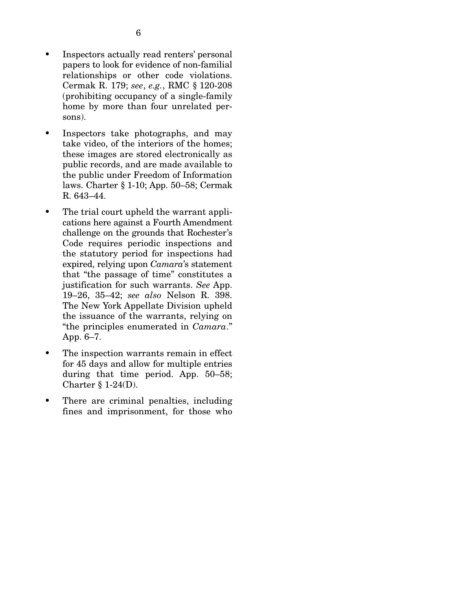- Inspectors actually read renters' personal papers to look for evidence of non-familial relationships or other code violations. Cermak R. 179; *see*, *e.g.*, RMC § 120-208 (prohibiting occupancy of a single-family home by more than four unrelated persons).
- Inspectors take photographs, and may take video, of the interiors of the homes; these images are stored electronically as public records, and are made available to the public under Freedom of Information laws. Charter § 1-10; App. 50–58; Cermak R. 643–44.
- The trial court upheld the warrant applications here against a Fourth Amendment challenge on the grounds that Rochester's Code requires periodic inspections and the statutory period for inspections had expired, relying upon *Camara*'s statement that "the passage of time" constitutes a justification for such warrants. *See* App. 19–26, 35–42; *see also* Nelson R. 398. The New York Appellate Division upheld the issuance of the warrants, relying on "the principles enumerated in *Camara*." App. 6–7.
- The inspection warrants remain in effect for 45 days and allow for multiple entries during that time period. App. 50–58; Charter § 1-24(D).
- There are criminal penalties, including fines and imprisonment, for those who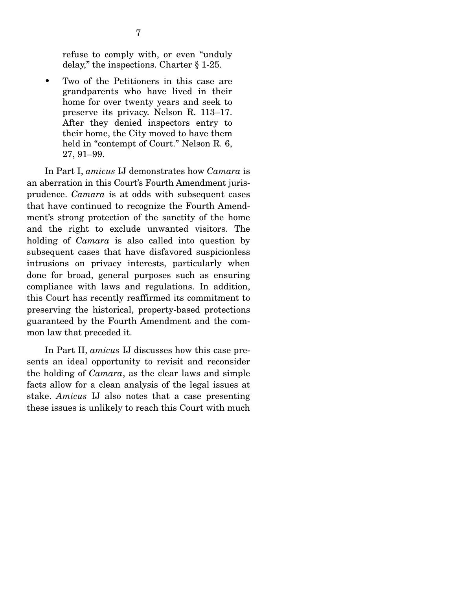refuse to comply with, or even "unduly delay," the inspections. Charter § 1-25.

• Two of the Petitioners in this case are grandparents who have lived in their home for over twenty years and seek to preserve its privacy. Nelson R. 113–17. After they denied inspectors entry to their home, the City moved to have them held in "contempt of Court." Nelson R. 6, 27, 91–99.

 In Part I, *amicus* IJ demonstrates how *Camara* is an aberration in this Court's Fourth Amendment jurisprudence. *Camara* is at odds with subsequent cases that have continued to recognize the Fourth Amendment's strong protection of the sanctity of the home and the right to exclude unwanted visitors. The holding of *Camara* is also called into question by subsequent cases that have disfavored suspicionless intrusions on privacy interests, particularly when done for broad, general purposes such as ensuring compliance with laws and regulations. In addition, this Court has recently reaffirmed its commitment to preserving the historical, property-based protections guaranteed by the Fourth Amendment and the common law that preceded it.

 In Part II, *amicus* IJ discusses how this case presents an ideal opportunity to revisit and reconsider the holding of *Camara*, as the clear laws and simple facts allow for a clean analysis of the legal issues at stake. *Amicus* IJ also notes that a case presenting these issues is unlikely to reach this Court with much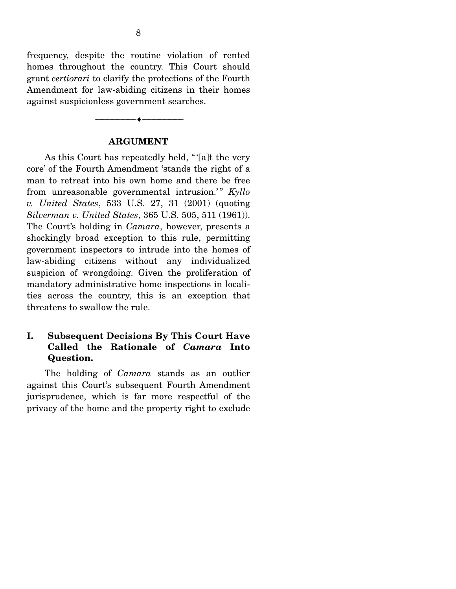frequency, despite the routine violation of rented homes throughout the country. This Court should grant *certiorari* to clarify the protections of the Fourth Amendment for law-abiding citizens in their homes against suspicionless government searches.

#### **ARGUMENT**

 $-\bullet-\$ 

 As this Court has repeatedly held, " '[a]t the very core' of the Fourth Amendment 'stands the right of a man to retreat into his own home and there be free from unreasonable governmental intrusion.'" Kyllo *v. United States*, 533 U.S. 27, 31 (2001) (quoting *Silverman v. United States*, 365 U.S. 505, 511 (1961)). The Court's holding in *Camara*, however, presents a shockingly broad exception to this rule, permitting government inspectors to intrude into the homes of law-abiding citizens without any individualized suspicion of wrongdoing. Given the proliferation of mandatory administrative home inspections in localities across the country, this is an exception that threatens to swallow the rule.

### **I. Subsequent Decisions By This Court Have Called the Rationale of** *Camara* **Into Question.**

 The holding of *Camara* stands as an outlier against this Court's subsequent Fourth Amendment jurisprudence, which is far more respectful of the privacy of the home and the property right to exclude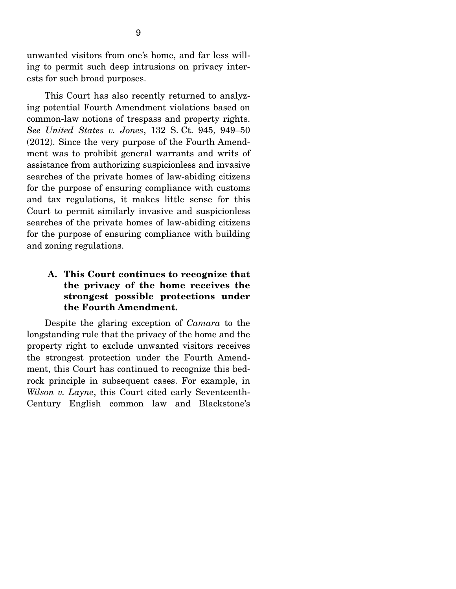unwanted visitors from one's home, and far less willing to permit such deep intrusions on privacy interests for such broad purposes.

 This Court has also recently returned to analyzing potential Fourth Amendment violations based on common-law notions of trespass and property rights. *See United States v. Jones*, 132 S. Ct. 945, 949–50 (2012). Since the very purpose of the Fourth Amendment was to prohibit general warrants and writs of assistance from authorizing suspicionless and invasive searches of the private homes of law-abiding citizens for the purpose of ensuring compliance with customs and tax regulations, it makes little sense for this Court to permit similarly invasive and suspicionless searches of the private homes of law-abiding citizens for the purpose of ensuring compliance with building and zoning regulations.

### **A. This Court continues to recognize that the privacy of the home receives the strongest possible protections under the Fourth Amendment.**

 Despite the glaring exception of *Camara* to the longstanding rule that the privacy of the home and the property right to exclude unwanted visitors receives the strongest protection under the Fourth Amendment, this Court has continued to recognize this bedrock principle in subsequent cases. For example, in *Wilson v. Layne*, this Court cited early Seventeenth-Century English common law and Blackstone's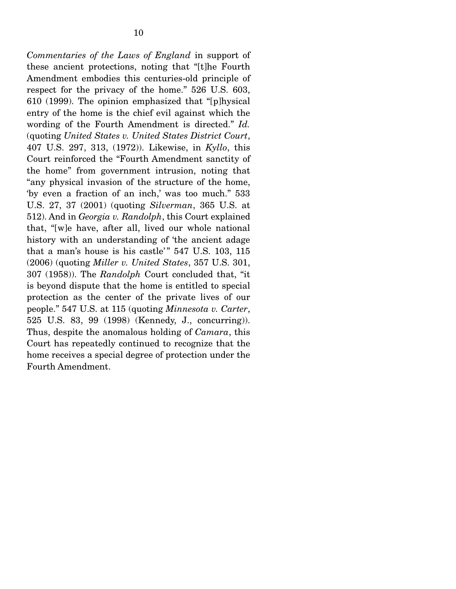*Commentaries of the Laws of England* in support of these ancient protections, noting that "[t]he Fourth Amendment embodies this centuries-old principle of respect for the privacy of the home." 526 U.S. 603, 610 (1999). The opinion emphasized that "[p]hysical entry of the home is the chief evil against which the wording of the Fourth Amendment is directed." *Id.* (quoting *United States v. United States District Court*, 407 U.S. 297, 313, (1972)). Likewise, in *Kyllo*, this Court reinforced the "Fourth Amendment sanctity of the home" from government intrusion, noting that "any physical invasion of the structure of the home, 'by even a fraction of an inch,' was too much." 533 U.S. 27, 37 (2001) (quoting *Silverman*, 365 U.S. at 512). And in *Georgia v. Randolph*, this Court explained that, "[w]e have, after all, lived our whole national history with an understanding of 'the ancient adage that a man's house is his castle'"  $547$  U.S.  $103$ ,  $115$ (2006) (quoting *Miller v. United States*, 357 U.S. 301, 307 (1958)). The *Randolph* Court concluded that, "it is beyond dispute that the home is entitled to special protection as the center of the private lives of our people." 547 U.S. at 115 (quoting *Minnesota v. Carter*, 525 U.S. 83, 99 (1998) (Kennedy, J., concurring)). Thus, despite the anomalous holding of *Camara*, this Court has repeatedly continued to recognize that the home receives a special degree of protection under the Fourth Amendment.

10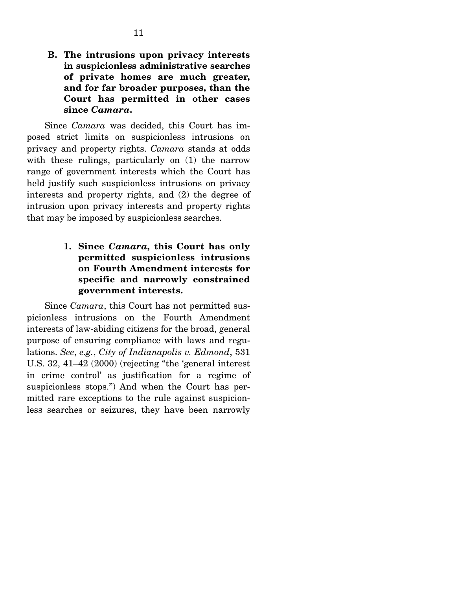**B. The intrusions upon privacy interests in suspicionless administrative searches of private homes are much greater, and for far broader purposes, than the Court has permitted in other cases since** *Camara***.** 

 Since *Camara* was decided, this Court has imposed strict limits on suspicionless intrusions on privacy and property rights. *Camara* stands at odds with these rulings, particularly on  $(1)$  the narrow range of government interests which the Court has held justify such suspicionless intrusions on privacy interests and property rights, and (2) the degree of intrusion upon privacy interests and property rights that may be imposed by suspicionless searches.

> **1. Since** *Camara***, this Court has only permitted suspicionless intrusions on Fourth Amendment interests for specific and narrowly constrained government interests.**

 Since *Camara*, this Court has not permitted suspicionless intrusions on the Fourth Amendment interests of law-abiding citizens for the broad, general purpose of ensuring compliance with laws and regulations. *See*, *e.g.*, *City of Indianapolis v. Edmond*, 531 U.S. 32, 41–42 (2000) (rejecting "the 'general interest in crime control' as justification for a regime of suspicionless stops.") And when the Court has permitted rare exceptions to the rule against suspicionless searches or seizures, they have been narrowly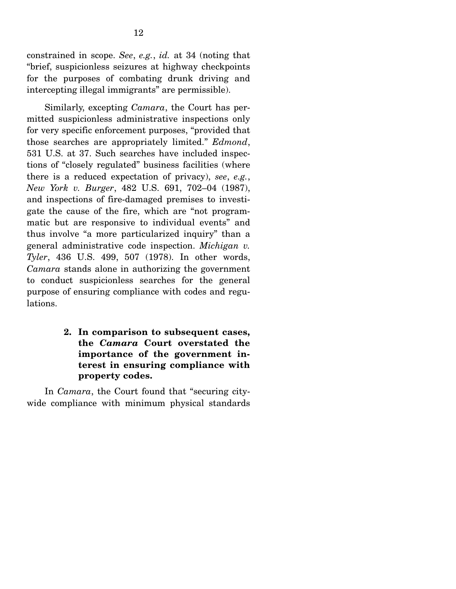constrained in scope. *See*, *e.g.*, *id.* at 34 (noting that "brief, suspicionless seizures at highway checkpoints for the purposes of combating drunk driving and intercepting illegal immigrants" are permissible).

 Similarly, excepting *Camara*, the Court has permitted suspicionless administrative inspections only for very specific enforcement purposes, "provided that those searches are appropriately limited." *Edmond*, 531 U.S. at 37. Such searches have included inspections of "closely regulated" business facilities (where there is a reduced expectation of privacy), *see*, *e.g.*, *New York v. Burger*, 482 U.S. 691, 702–04 (1987), and inspections of fire-damaged premises to investigate the cause of the fire, which are "not programmatic but are responsive to individual events" and thus involve "a more particularized inquiry" than a general administrative code inspection. *Michigan v. Tyler*, 436 U.S. 499, 507 (1978). In other words, *Camara* stands alone in authorizing the government to conduct suspicionless searches for the general purpose of ensuring compliance with codes and regulations.

### **2. In comparison to subsequent cases, the** *Camara* **Court overstated the importance of the government interest in ensuring compliance with property codes.**

 In *Camara*, the Court found that "securing citywide compliance with minimum physical standards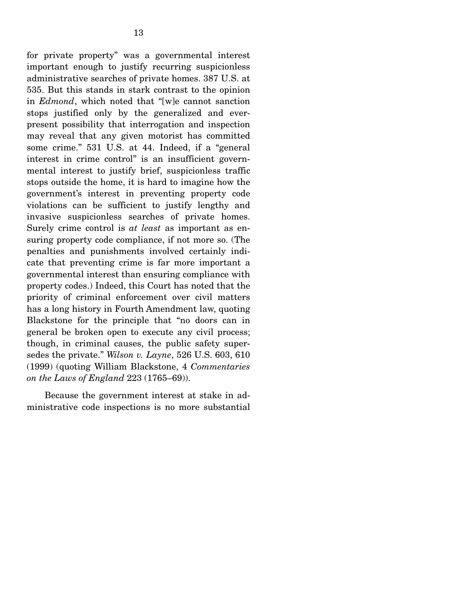for private property" was a governmental interest important enough to justify recurring suspicionless administrative searches of private homes. 387 U.S. at 535. But this stands in stark contrast to the opinion in *Edmond*, which noted that "[w]e cannot sanction stops justified only by the generalized and everpresent possibility that interrogation and inspection may reveal that any given motorist has committed some crime." 531 U.S. at 44. Indeed, if a "general interest in crime control" is an insufficient governmental interest to justify brief, suspicionless traffic stops outside the home, it is hard to imagine how the government's interest in preventing property code violations can be sufficient to justify lengthy and invasive suspicionless searches of private homes. Surely crime control is *at least* as important as ensuring property code compliance, if not more so. (The penalties and punishments involved certainly indicate that preventing crime is far more important a governmental interest than ensuring compliance with property codes.) Indeed, this Court has noted that the priority of criminal enforcement over civil matters has a long history in Fourth Amendment law, quoting Blackstone for the principle that "no doors can in general be broken open to execute any civil process; though, in criminal causes, the public safety supersedes the private." *Wilson v. Layne*, 526 U.S. 603, 610 (1999) (quoting William Blackstone, 4 *Commentaries on the Laws of England* 223 (1765–69)).

 Because the government interest at stake in administrative code inspections is no more substantial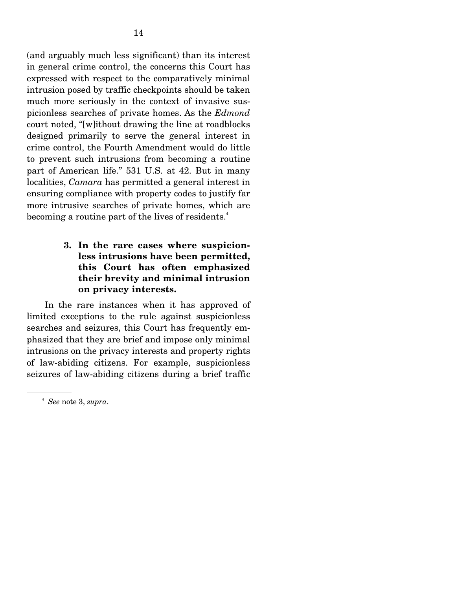(and arguably much less significant) than its interest in general crime control, the concerns this Court has expressed with respect to the comparatively minimal intrusion posed by traffic checkpoints should be taken much more seriously in the context of invasive suspicionless searches of private homes. As the *Edmond*  court noted, "[w]ithout drawing the line at roadblocks designed primarily to serve the general interest in crime control, the Fourth Amendment would do little to prevent such intrusions from becoming a routine part of American life." 531 U.S. at 42. But in many localities, *Camara* has permitted a general interest in ensuring compliance with property codes to justify far more intrusive searches of private homes, which are becoming a routine part of the lives of residents.<sup>4</sup>

### **3. In the rare cases where suspicionless intrusions have been permitted, this Court has often emphasized their brevity and minimal intrusion on privacy interests.**

 In the rare instances when it has approved of limited exceptions to the rule against suspicionless searches and seizures, this Court has frequently emphasized that they are brief and impose only minimal intrusions on the privacy interests and property rights of law-abiding citizens. For example, suspicionless seizures of law-abiding citizens during a brief traffic

<sup>4</sup> *See* note 3, *supra*.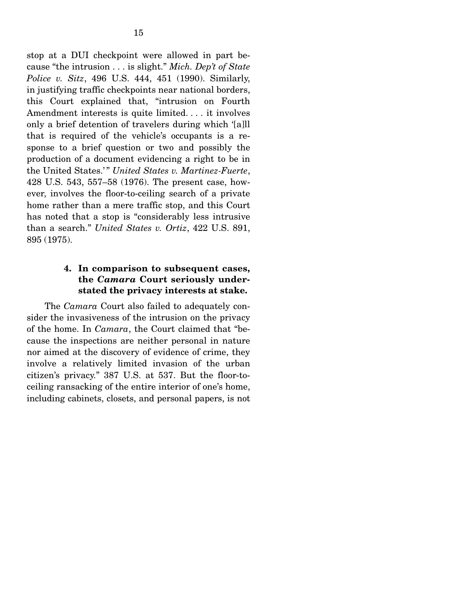stop at a DUI checkpoint were allowed in part because "the intrusion . . . is slight." *Mich. Dep't of State Police v. Sitz*, 496 U.S. 444, 451 (1990). Similarly, in justifying traffic checkpoints near national borders, this Court explained that, "intrusion on Fourth Amendment interests is quite limited. . . . it involves only a brief detention of travelers during which '[a]ll that is required of the vehicle's occupants is a response to a brief question or two and possibly the production of a document evidencing a right to be in the United States.'" *United States v. Martinez-Fuerte*, 428 U.S. 543, 557–58 (1976). The present case, however, involves the floor-to-ceiling search of a private home rather than a mere traffic stop, and this Court has noted that a stop is "considerably less intrusive than a search." *United States v. Ortiz*, 422 U.S. 891, 895 (1975).

#### **4. In comparison to subsequent cases, the** *Camara* **Court seriously understated the privacy interests at stake.**

 The *Camara* Court also failed to adequately consider the invasiveness of the intrusion on the privacy of the home. In *Camara*, the Court claimed that "because the inspections are neither personal in nature nor aimed at the discovery of evidence of crime, they involve a relatively limited invasion of the urban citizen's privacy." 387 U.S. at 537. But the floor-toceiling ransacking of the entire interior of one's home, including cabinets, closets, and personal papers, is not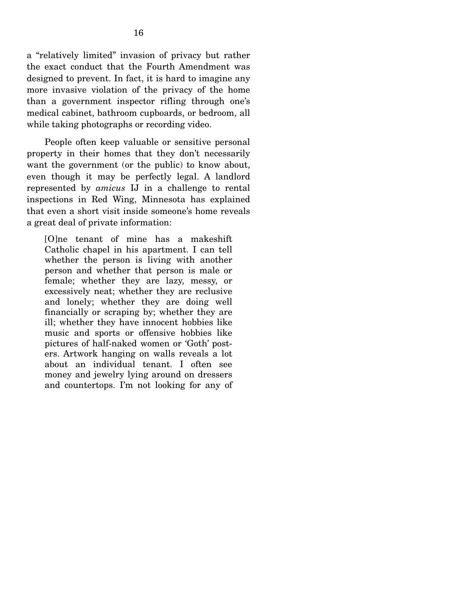a "relatively limited" invasion of privacy but rather the exact conduct that the Fourth Amendment was designed to prevent. In fact, it is hard to imagine any more invasive violation of the privacy of the home than a government inspector rifling through one's medical cabinet, bathroom cupboards, or bedroom, all while taking photographs or recording video.

 People often keep valuable or sensitive personal property in their homes that they don't necessarily want the government (or the public) to know about, even though it may be perfectly legal. A landlord represented by *amicus* IJ in a challenge to rental inspections in Red Wing, Minnesota has explained that even a short visit inside someone's home reveals a great deal of private information:

[O]ne tenant of mine has a makeshift Catholic chapel in his apartment. I can tell whether the person is living with another person and whether that person is male or female; whether they are lazy, messy, or excessively neat; whether they are reclusive and lonely; whether they are doing well financially or scraping by; whether they are ill; whether they have innocent hobbies like music and sports or offensive hobbies like pictures of half-naked women or 'Goth' posters. Artwork hanging on walls reveals a lot about an individual tenant. I often see money and jewelry lying around on dressers and countertops. I'm not looking for any of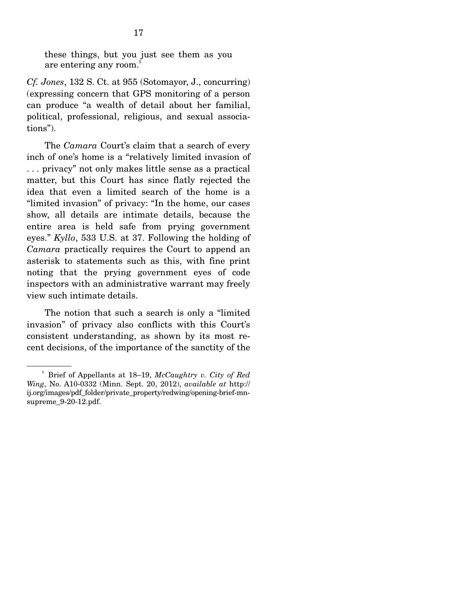these things, but you just see them as you are entering any room.<sup>5</sup>

*Cf. Jones*, 132 S. Ct. at 955 (Sotomayor, J., concurring) (expressing concern that GPS monitoring of a person can produce "a wealth of detail about her familial, political, professional, religious, and sexual associations").

 The *Camara* Court's claim that a search of every inch of one's home is a "relatively limited invasion of . . . privacy" not only makes little sense as a practical matter, but this Court has since flatly rejected the idea that even a limited search of the home is a "limited invasion" of privacy: "In the home, our cases show, all details are intimate details, because the entire area is held safe from prying government eyes." *Kyllo*, 533 U.S. at 37. Following the holding of *Camara* practically requires the Court to append an asterisk to statements such as this, with fine print noting that the prying government eyes of code inspectors with an administrative warrant may freely view such intimate details.

 The notion that such a search is only a "limited invasion" of privacy also conflicts with this Court's consistent understanding, as shown by its most recent decisions, of the importance of the sanctity of the

<sup>5</sup> Brief of Appellants at 18–19, *McCaughtry v. City of Red Wing*, No. A10-0332 (Minn. Sept. 20, 2012), *available at* http:// ij.org/images/pdf\_folder/private\_property/redwing/opening-brief-mnsupreme\_9-20-12.pdf.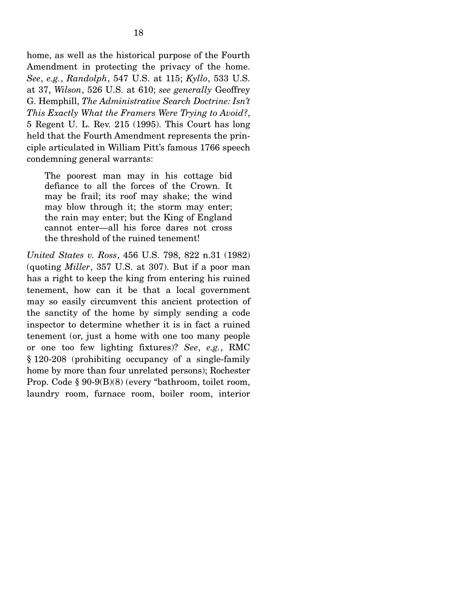home, as well as the historical purpose of the Fourth Amendment in protecting the privacy of the home. *See*, *e.g.*, *Randolph*, 547 U.S. at 115; *Kyllo*, 533 U.S. at 37, *Wilson*, 526 U.S. at 610; *see generally* Geoffrey G. Hemphill, *The Administrative Search Doctrine: Isn't This Exactly What the Framers Were Trying to Avoid?*, 5 Regent U. L. Rev. 215 (1995). This Court has long held that the Fourth Amendment represents the principle articulated in William Pitt's famous 1766 speech condemning general warrants:

The poorest man may in his cottage bid defiance to all the forces of the Crown. It may be frail; its roof may shake; the wind may blow through it; the storm may enter; the rain may enter; but the King of England cannot enter—all his force dares not cross the threshold of the ruined tenement!

*United States v. Ross*, 456 U.S. 798, 822 n.31 (1982) (quoting *Miller*, 357 U.S. at 307). But if a poor man has a right to keep the king from entering his ruined tenement, how can it be that a local government may so easily circumvent this ancient protection of the sanctity of the home by simply sending a code inspector to determine whether it is in fact a ruined tenement (or, just a home with one too many people or one too few lighting fixtures)? *See*, *e.g.*, RMC § 120-208 (prohibiting occupancy of a single-family home by more than four unrelated persons); Rochester Prop. Code § 90-9(B)(8) (every "bathroom, toilet room, laundry room, furnace room, boiler room, interior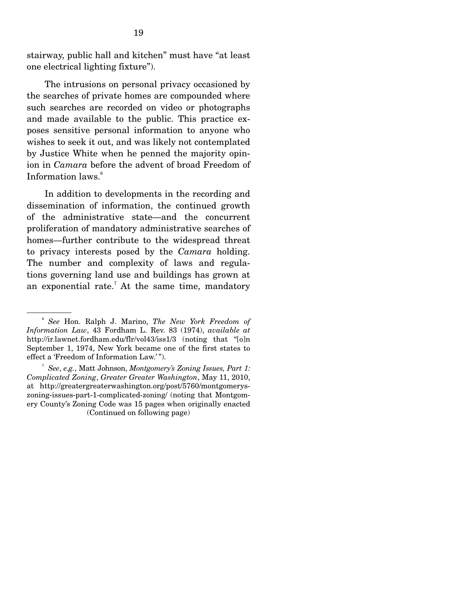stairway, public hall and kitchen" must have "at least one electrical lighting fixture").

 The intrusions on personal privacy occasioned by the searches of private homes are compounded where such searches are recorded on video or photographs and made available to the public. This practice exposes sensitive personal information to anyone who wishes to seek it out, and was likely not contemplated by Justice White when he penned the majority opinion in *Camara* before the advent of broad Freedom of Information laws.6

 In addition to developments in the recording and dissemination of information, the continued growth of the administrative state—and the concurrent proliferation of mandatory administrative searches of homes—further contribute to the widespread threat to privacy interests posed by the *Camara* holding. The number and complexity of laws and regulations governing land use and buildings has grown at an exponential rate.<sup>7</sup> At the same time, mandatory

<sup>6</sup> *See* Hon. Ralph J. Marino, *The New York Freedom of Information Law*, 43 Fordham L. Rev. 83 (1974), *available at* http://ir.lawnet.fordham.edu/flr/vol43/iss1/3 (noting that "[o]n September 1, 1974, New York became one of the first states to effect a 'Freedom of Information Law.' ").

<sup>7</sup> *See*, *e.g.*, Matt Johnson, *Montgomery's Zoning Issues, Part 1: Complicated Zoning*, *Greater Greater Washington*, May 11, 2010, at http://greatergreaterwashington.org/post/5760/montgomeryszoning-issues-part-1-complicated-zoning/ (noting that Montgomery County's Zoning Code was 15 pages when originally enacted (Continued on following page)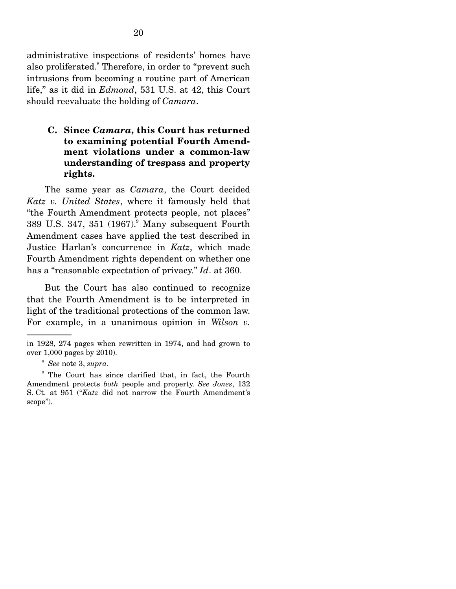administrative inspections of residents' homes have also proliferated.<sup>8</sup> Therefore, in order to "prevent such intrusions from becoming a routine part of American life," as it did in *Edmond*, 531 U.S. at 42, this Court should reevaluate the holding of *Camara*.

### **C. Since** *Camara***, this Court has returned to examining potential Fourth Amendment violations under a common-law understanding of trespass and property rights.**

 The same year as *Camara*, the Court decided *Katz v. United States*, where it famously held that "the Fourth Amendment protects people, not places" 389 U.S. 347, 351 (1967).<sup>9</sup> Many subsequent Fourth Amendment cases have applied the test described in Justice Harlan's concurrence in *Katz*, which made Fourth Amendment rights dependent on whether one has a "reasonable expectation of privacy." *Id*. at 360.

 But the Court has also continued to recognize that the Fourth Amendment is to be interpreted in light of the traditional protections of the common law. For example, in a unanimous opinion in *Wilson v.* 

in 1928, 274 pages when rewritten in 1974, and had grown to over 1,000 pages by 2010).

<sup>8</sup> *See* note 3, *supra*.

<sup>9</sup> The Court has since clarified that, in fact, the Fourth Amendment protects *both* people and property. *See Jones*, 132 S. Ct. at 951 ("*Katz* did not narrow the Fourth Amendment's scope").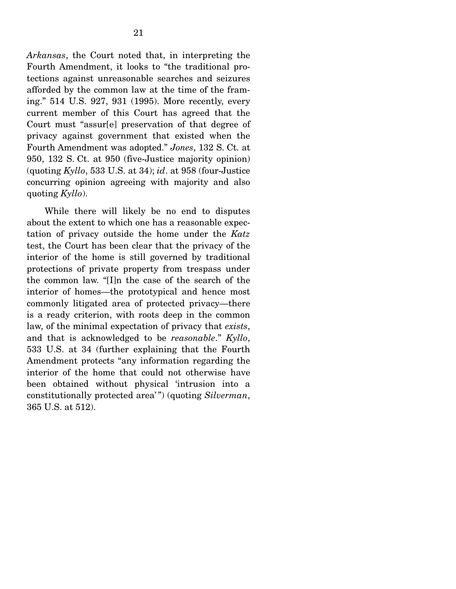*Arkansas*, the Court noted that, in interpreting the Fourth Amendment, it looks to "the traditional protections against unreasonable searches and seizures afforded by the common law at the time of the framing." 514 U.S. 927, 931 (1995). More recently, every current member of this Court has agreed that the Court must "assur[e] preservation of that degree of privacy against government that existed when the Fourth Amendment was adopted." *Jones*, 132 S. Ct. at 950, 132 S. Ct. at 950 (five-Justice majority opinion) (quoting *Kyllo*, 533 U.S. at 34); *id*. at 958 (four-Justice concurring opinion agreeing with majority and also quoting *Kyllo*).

 While there will likely be no end to disputes about the extent to which one has a reasonable expectation of privacy outside the home under the *Katz* test, the Court has been clear that the privacy of the interior of the home is still governed by traditional protections of private property from trespass under the common law. "[I]n the case of the search of the interior of homes—the prototypical and hence most commonly litigated area of protected privacy—there is a ready criterion, with roots deep in the common law, of the minimal expectation of privacy that *exists*, and that is acknowledged to be *reasonable*." *Kyllo*, 533 U.S. at 34 (further explaining that the Fourth Amendment protects "any information regarding the interior of the home that could not otherwise have been obtained without physical 'intrusion into a constitutionally protected area' ") (quoting *Silverman*, 365 U.S. at 512).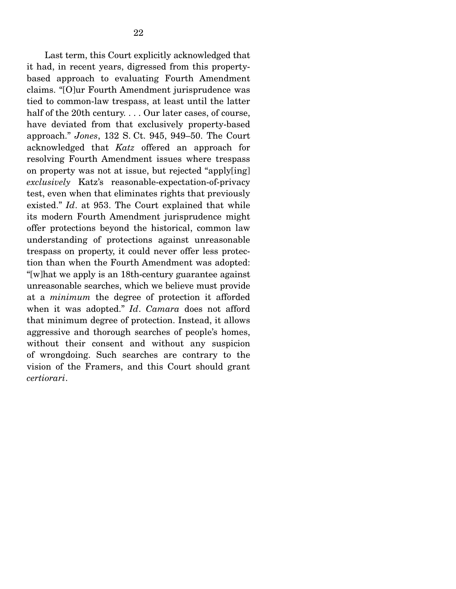Last term, this Court explicitly acknowledged that it had, in recent years, digressed from this propertybased approach to evaluating Fourth Amendment claims. "[O]ur Fourth Amendment jurisprudence was tied to common-law trespass, at least until the latter half of the 20th century. . . . Our later cases, of course, have deviated from that exclusively property-based approach." *Jones*, 132 S. Ct. 945, 949–50. The Court acknowledged that *Katz* offered an approach for resolving Fourth Amendment issues where trespass on property was not at issue, but rejected "apply[ing] *exclusively* Katz's reasonable-expectation-of-privacy test, even when that eliminates rights that previously existed." *Id*. at 953. The Court explained that while its modern Fourth Amendment jurisprudence might offer protections beyond the historical, common law understanding of protections against unreasonable trespass on property, it could never offer less protection than when the Fourth Amendment was adopted: "[w]hat we apply is an 18th-century guarantee against unreasonable searches, which we believe must provide at a *minimum* the degree of protection it afforded when it was adopted." *Id*. *Camara* does not afford that minimum degree of protection. Instead, it allows aggressive and thorough searches of people's homes, without their consent and without any suspicion of wrongdoing. Such searches are contrary to the vision of the Framers, and this Court should grant *certiorari*.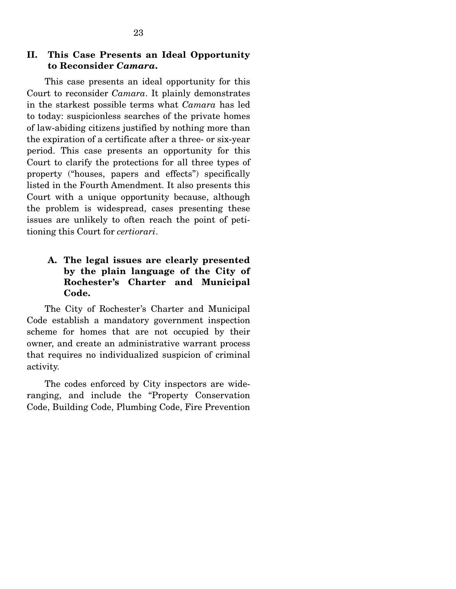#### **II. This Case Presents an Ideal Opportunity to Reconsider** *Camara***.**

 This case presents an ideal opportunity for this Court to reconsider *Camara*. It plainly demonstrates in the starkest possible terms what *Camara* has led to today: suspicionless searches of the private homes of law-abiding citizens justified by nothing more than the expiration of a certificate after a three- or six-year period. This case presents an opportunity for this Court to clarify the protections for all three types of property ("houses, papers and effects") specifically listed in the Fourth Amendment. It also presents this Court with a unique opportunity because, although the problem is widespread, cases presenting these issues are unlikely to often reach the point of petitioning this Court for *certiorari*.

### **A. The legal issues are clearly presented by the plain language of the City of Rochester's Charter and Municipal Code.**

 The City of Rochester's Charter and Municipal Code establish a mandatory government inspection scheme for homes that are not occupied by their owner, and create an administrative warrant process that requires no individualized suspicion of criminal activity.

 The codes enforced by City inspectors are wideranging, and include the "Property Conservation Code, Building Code, Plumbing Code, Fire Prevention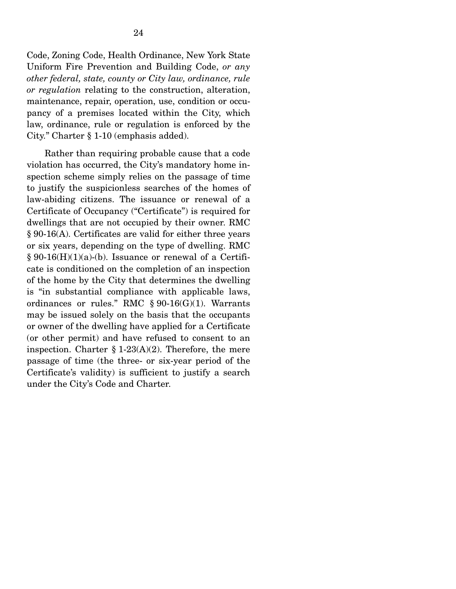Code, Zoning Code, Health Ordinance, New York State Uniform Fire Prevention and Building Code, *or any other federal, state, county or City law, ordinance, rule or regulation* relating to the construction, alteration, maintenance, repair, operation, use, condition or occupancy of a premises located within the City, which law, ordinance, rule or regulation is enforced by the City." Charter § 1-10 (emphasis added).

 Rather than requiring probable cause that a code violation has occurred, the City's mandatory home inspection scheme simply relies on the passage of time to justify the suspicionless searches of the homes of law-abiding citizens. The issuance or renewal of a Certificate of Occupancy ("Certificate") is required for dwellings that are not occupied by their owner. RMC § 90-16(A). Certificates are valid for either three years or six years, depending on the type of dwelling. RMC  $\S 90-16(H)(1)(a)-(b)$ . Issuance or renewal of a Certificate is conditioned on the completion of an inspection of the home by the City that determines the dwelling is "in substantial compliance with applicable laws, ordinances or rules." RMC  $\S 90-16(G)(1)$ . Warrants may be issued solely on the basis that the occupants or owner of the dwelling have applied for a Certificate (or other permit) and have refused to consent to an inspection. Charter  $\S 1-23(A)(2)$ . Therefore, the mere passage of time (the three- or six-year period of the Certificate's validity) is sufficient to justify a search under the City's Code and Charter.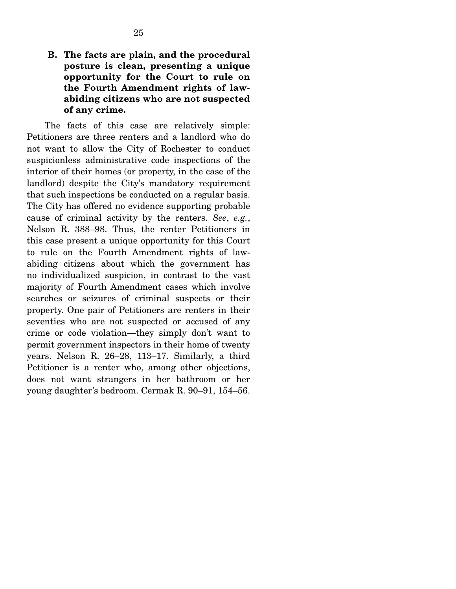### **B. The facts are plain, and the procedural posture is clean, presenting a unique opportunity for the Court to rule on the Fourth Amendment rights of lawabiding citizens who are not suspected of any crime.**

 The facts of this case are relatively simple: Petitioners are three renters and a landlord who do not want to allow the City of Rochester to conduct suspicionless administrative code inspections of the interior of their homes (or property, in the case of the landlord) despite the City's mandatory requirement that such inspections be conducted on a regular basis. The City has offered no evidence supporting probable cause of criminal activity by the renters. *See*, *e.g.*, Nelson R. 388–98. Thus, the renter Petitioners in this case present a unique opportunity for this Court to rule on the Fourth Amendment rights of lawabiding citizens about which the government has no individualized suspicion, in contrast to the vast majority of Fourth Amendment cases which involve searches or seizures of criminal suspects or their property. One pair of Petitioners are renters in their seventies who are not suspected or accused of any crime or code violation—they simply don't want to permit government inspectors in their home of twenty years. Nelson R. 26–28, 113–17. Similarly, a third Petitioner is a renter who, among other objections, does not want strangers in her bathroom or her young daughter's bedroom. Cermak R. 90–91, 154–56.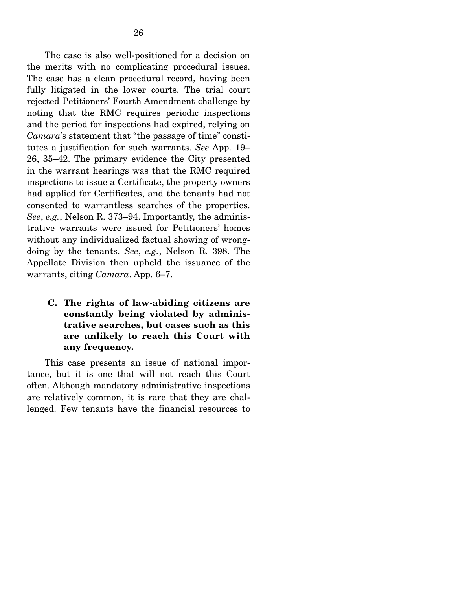The case is also well-positioned for a decision on the merits with no complicating procedural issues. The case has a clean procedural record, having been fully litigated in the lower courts. The trial court rejected Petitioners' Fourth Amendment challenge by noting that the RMC requires periodic inspections and the period for inspections had expired, relying on *Camara*'s statement that "the passage of time" constitutes a justification for such warrants. *See* App. 19– 26, 35–42. The primary evidence the City presented in the warrant hearings was that the RMC required inspections to issue a Certificate, the property owners had applied for Certificates, and the tenants had not consented to warrantless searches of the properties. *See*, *e.g.*, Nelson R. 373–94. Importantly, the administrative warrants were issued for Petitioners' homes without any individualized factual showing of wrongdoing by the tenants. *See*, *e.g.*, Nelson R. 398. The Appellate Division then upheld the issuance of the warrants, citing *Camara*. App. 6–7.

**C. The rights of law-abiding citizens are constantly being violated by administrative searches, but cases such as this are unlikely to reach this Court with any frequency.** 

 This case presents an issue of national importance, but it is one that will not reach this Court often. Although mandatory administrative inspections are relatively common, it is rare that they are challenged. Few tenants have the financial resources to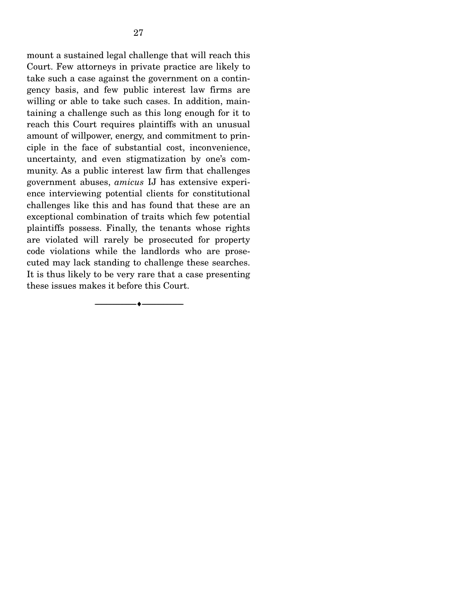mount a sustained legal challenge that will reach this Court. Few attorneys in private practice are likely to take such a case against the government on a contingency basis, and few public interest law firms are willing or able to take such cases. In addition, maintaining a challenge such as this long enough for it to reach this Court requires plaintiffs with an unusual amount of willpower, energy, and commitment to principle in the face of substantial cost, inconvenience, uncertainty, and even stigmatization by one's community. As a public interest law firm that challenges government abuses, *amicus* IJ has extensive experience interviewing potential clients for constitutional challenges like this and has found that these are an exceptional combination of traits which few potential plaintiffs possess. Finally, the tenants whose rights are violated will rarely be prosecuted for property code violations while the landlords who are prosecuted may lack standing to challenge these searches. It is thus likely to be very rare that a case presenting these issues makes it before this Court.

--------------------------------- ---------------------------------